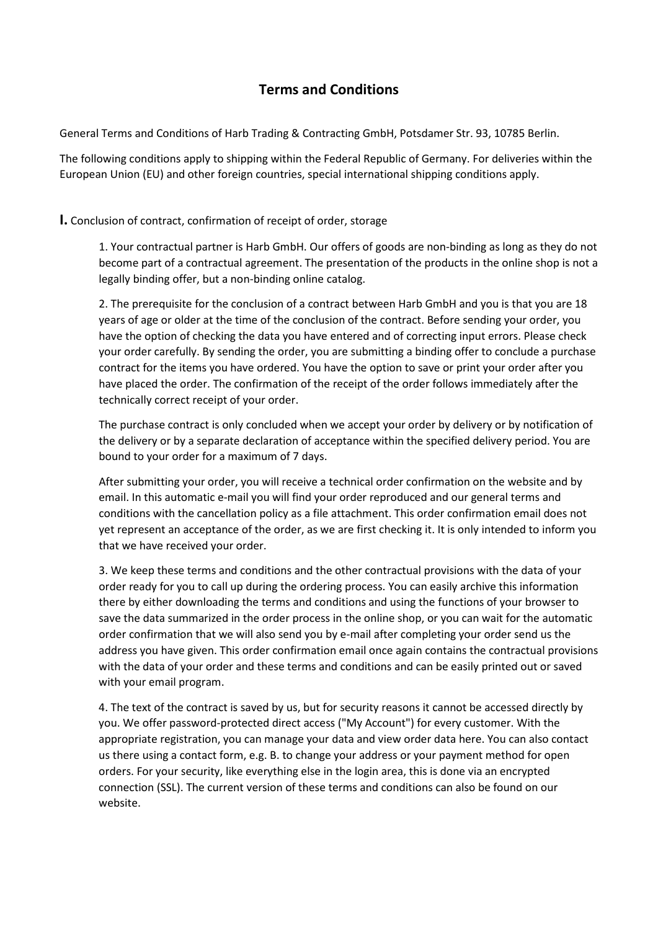# **Terms and Conditions**

General Terms and Conditions of Harb Trading & Contracting GmbH, Potsdamer Str. 93, 10785 Berlin.

The following conditions apply to shipping within the Federal Republic of Germany. For deliveries within the European Union (EU) and other foreign countries, special international shipping conditions apply.

## **I.** Conclusion of contract, confirmation of receipt of order, storage

1. Your contractual partner is Harb GmbH. Our offers of goods are non-binding as long as they do not become part of a contractual agreement. The presentation of the products in the online shop is not a legally binding offer, but a non-binding online catalog.

2. The prerequisite for the conclusion of a contract between Harb GmbH and you is that you are 18 years of age or older at the time of the conclusion of the contract. Before sending your order, you have the option of checking the data you have entered and of correcting input errors. Please check your order carefully. By sending the order, you are submitting a binding offer to conclude a purchase contract for the items you have ordered. You have the option to save or print your order after you have placed the order. The confirmation of the receipt of the order follows immediately after the technically correct receipt of your order.

The purchase contract is only concluded when we accept your order by delivery or by notification of the delivery or by a separate declaration of acceptance within the specified delivery period. You are bound to your order for a maximum of 7 days.

After submitting your order, you will receive a technical order confirmation on the website and by email. In this automatic e-mail you will find your order reproduced and our general terms and conditions with the cancellation policy as a file attachment. This order confirmation email does not yet represent an acceptance of the order, as we are first checking it. It is only intended to inform you that we have received your order.

3. We keep these terms and conditions and the other contractual provisions with the data of your order ready for you to call up during the ordering process. You can easily archive this information there by either downloading the terms and conditions and using the functions of your browser to save the data summarized in the order process in the online shop, or you can wait for the automatic order confirmation that we will also send you by e-mail after completing your order send us the address you have given. This order confirmation email once again contains the contractual provisions with the data of your order and these terms and conditions and can be easily printed out or saved with your email program.

4. The text of the contract is saved by us, but for security reasons it cannot be accessed directly by you. We offer password-protected direct access ("My Account") for every customer. With the appropriate registration, you can manage your data and view order data here. You can also contact us there using a contact form, e.g. B. to change your address or your payment method for open orders. For your security, like everything else in the login area, this is done via an encrypted connection (SSL). The current version of these terms and conditions can also be found on our website.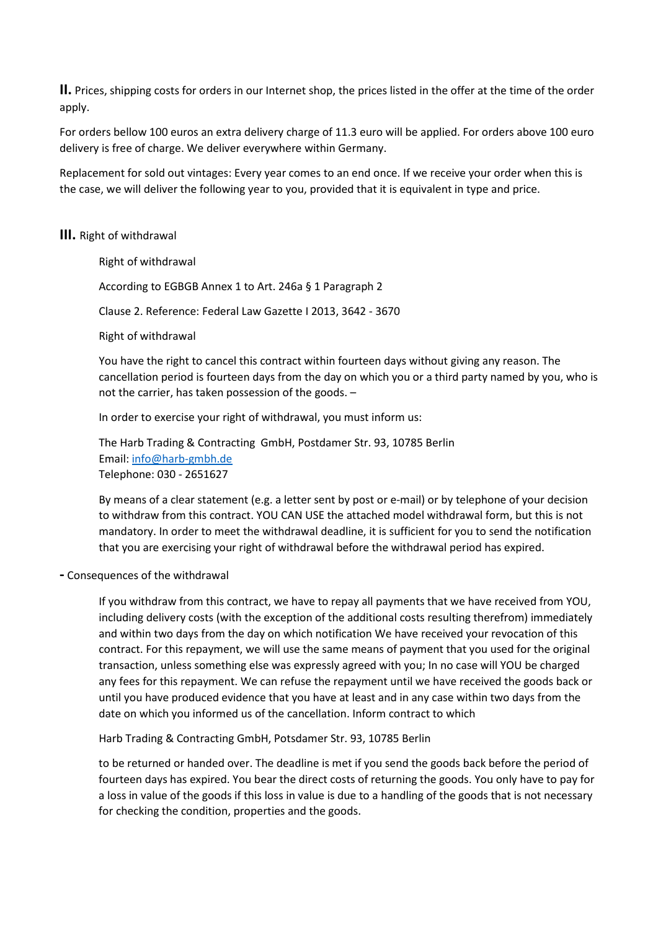**II.** Prices, shipping costs for orders in our Internet shop, the prices listed in the offer at the time of the order apply.

For orders bellow 100 euros an extra delivery charge of 11.3 euro will be applied. For orders above 100 euro delivery is free of charge. We deliver everywhere within Germany.

Replacement for sold out vintages: Every year comes to an end once. If we receive your order when this is the case, we will deliver the following year to you, provided that it is equivalent in type and price.

### **III.** Right of withdrawal

Right of withdrawal According to EGBGB Annex 1 to Art. 246a § 1 Paragraph 2 Clause 2. Reference: Federal Law Gazette I 2013, 3642 - 3670 Right of withdrawal

You have the right to cancel this contract within fourteen days without giving any reason. The cancellation period is fourteen days from the day on which you or a third party named by you, who is not the carrier, has taken possession of the goods. –

In order to exercise your right of withdrawal, you must inform us:

The Harb Trading & Contracting GmbH, Postdamer Str. 93, 10785 Berlin Email: [info@harb-gmbh.de](mailto:info@harb-gmbh.de) Telephone: 030 - 2651627

By means of a clear statement (e.g. a letter sent by post or e-mail) or by telephone of your decision to withdraw from this contract. YOU CAN USE the attached model withdrawal form, but this is not mandatory. In order to meet the withdrawal deadline, it is sufficient for you to send the notification that you are exercising your right of withdrawal before the withdrawal period has expired.

**-** Consequences of the withdrawal

If you withdraw from this contract, we have to repay all payments that we have received from YOU, including delivery costs (with the exception of the additional costs resulting therefrom) immediately and within two days from the day on which notification We have received your revocation of this contract. For this repayment, we will use the same means of payment that you used for the original transaction, unless something else was expressly agreed with you; In no case will YOU be charged any fees for this repayment. We can refuse the repayment until we have received the goods back or until you have produced evidence that you have at least and in any case within two days from the date on which you informed us of the cancellation. Inform contract to which

Harb Trading & Contracting GmbH, Potsdamer Str. 93, 10785 Berlin

to be returned or handed over. The deadline is met if you send the goods back before the period of fourteen days has expired. You bear the direct costs of returning the goods. You only have to pay for a loss in value of the goods if this loss in value is due to a handling of the goods that is not necessary for checking the condition, properties and the goods.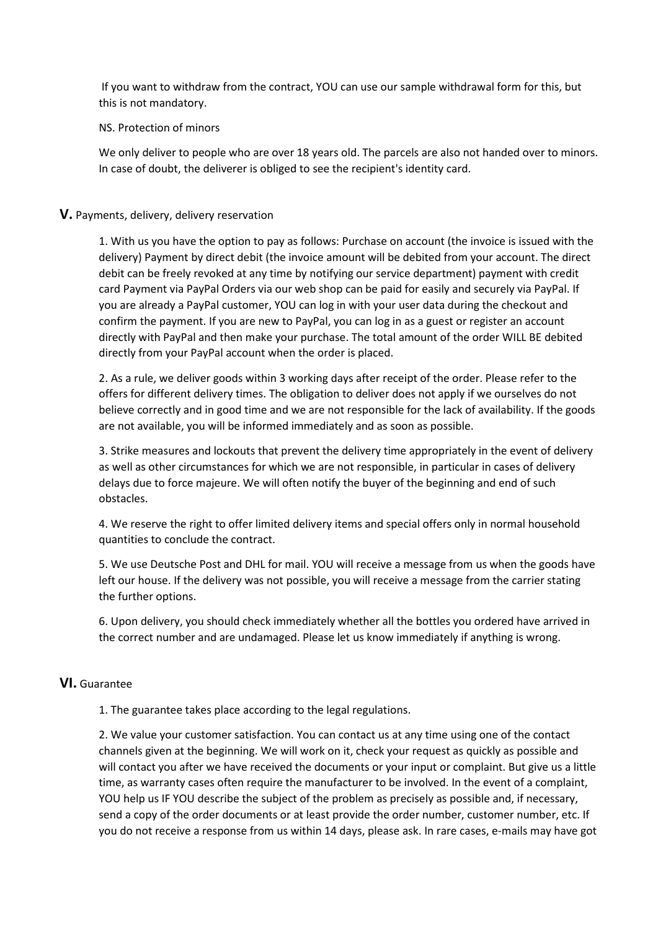If you want to withdraw from the contract, YOU can use our sample withdrawal form for this, but this is not mandatory.

NS. Protection of minors

We only deliver to people who are over 18 years old. The parcels are also not handed over to minors. In case of doubt, the deliverer is obliged to see the recipient's identity card.

## **V.** Payments, delivery, delivery reservation

1. With us you have the option to pay as follows: Purchase on account (the invoice is issued with the delivery) Payment by direct debit (the invoice amount will be debited from your account. The direct debit can be freely revoked at any time by notifying our service department) payment with credit card Payment via PayPal Orders via our web shop can be paid for easily and securely via PayPal. If you are already a PayPal customer, YOU can log in with your user data during the checkout and confirm the payment. If you are new to PayPal, you can log in as a guest or register an account directly with PayPal and then make your purchase. The total amount of the order WILL BE debited directly from your PayPal account when the order is placed.

2. As a rule, we deliver goods within 3 working days after receipt of the order. Please refer to the offers for different delivery times. The obligation to deliver does not apply if we ourselves do not believe correctly and in good time and we are not responsible for the lack of availability. If the goods are not available, you will be informed immediately and as soon as possible.

3. Strike measures and lockouts that prevent the delivery time appropriately in the event of delivery as well as other circumstances for which we are not responsible, in particular in cases of delivery delays due to force majeure. We will often notify the buyer of the beginning and end of such obstacles.

4. We reserve the right to offer limited delivery items and special offers only in normal household quantities to conclude the contract.

5. We use Deutsche Post and DHL for mail. YOU will receive a message from us when the goods have left our house. If the delivery was not possible, you will receive a message from the carrier stating the further options.

6. Upon delivery, you should check immediately whether all the bottles you ordered have arrived in the correct number and are undamaged. Please let us know immediately if anything is wrong.

#### **VI.** Guarantee

1. The guarantee takes place according to the legal regulations.

2. We value your customer satisfaction. You can contact us at any time using one of the contact channels given at the beginning. We will work on it, check your request as quickly as possible and will contact you after we have received the documents or your input or complaint. But give us a little time, as warranty cases often require the manufacturer to be involved. In the event of a complaint, YOU help us IF YOU describe the subject of the problem as precisely as possible and, if necessary, send a copy of the order documents or at least provide the order number, customer number, etc. If you do not receive a response from us within 14 days, please ask. In rare cases, e-mails may have got